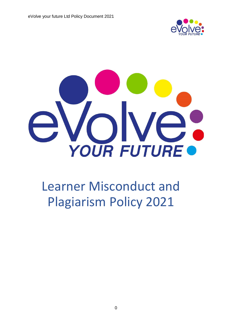



# Learner Misconduct and Plagiarism Policy 2021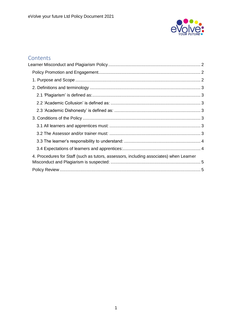

## Contents<br>Learner Miso

| 4. Procedures for Staff (such as tutors, assessors, including associates) when Learner |  |
|----------------------------------------------------------------------------------------|--|
|                                                                                        |  |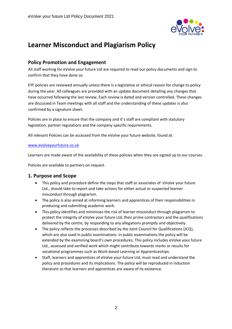

### <span id="page-2-0"></span>**Learner Misconduct and Plagiarism Policy**

#### <span id="page-2-1"></span>**Policy Promotion and Engagement**

All staff working for eVolve your future Ltd are required to read our policy documents and sign to confirm that they have done so.

EYF policies are reviewed annually unless there is a legislative or ethical reason for change to policy during the year. All colleagues are provided with an update document detailing any changes that have occurred following the last review. Each review is dated and version controlled. These changes are discussed in Team meetings with all staff and the understanding of these updates is also confirmed by a signature sheet.

Policies are in place to ensure that the company and it's staff are compliant with statutory legislation, partner regulations and the company specific requirements.

All relevant Policies can be accessed from the eVolve your future website, found at:

#### [www.evolveyourfuture.co.uk](http://www.evolveyourfuture.co.uk/)

Learners are made aware of the availability of these policies when they are signed up to our courses.

Policies are available to partners on request.

#### <span id="page-2-2"></span>**1. Purpose and Scope**

- This policy and procedure define the steps that staff or associates of 'eVolve your future Ltd., should take to report and take actions for either actual or suspected learner misconduct through plagiarism.
- The policy is also aimed at informing learners and apprentices of their responsibilities in producing and submitting academic work.
- This policy identifies and minimises the risk of learner misconduct through plagiarism to protect the integrity of eVolve your future Ltd, their prime contractors and the qualifications delivered by the centre, by responding to any allegations promptly and objectively.
- The policy reflects the processes described by the Joint Council for Qualifications (JCQ), which are also used in public examinations. In public examinations the policy will be extended by the examining board's own procedures. This policy includes eVolve your future Ltd., assessed and verified work which might contribute towards marks or results for vocational programmes such as Work-based Learning or Apprenticeships.
- Staff, learners and apprentices of eVolve your future Ltd, must read and understand the policy and procedures and its implications. The policy will be reproduced in induction literature so that learners and apprentices are aware of its existence.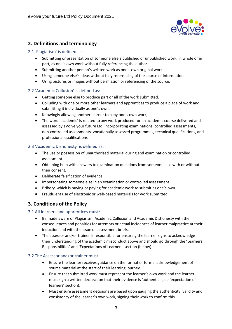

#### <span id="page-3-0"></span>**2. Definitions and terminology**

#### <span id="page-3-1"></span>2.1 *'*Plagiarism' is defined as:

- Submitting or presentation of someone else's published or unpublished work, in whole or in part, as one's own work without fully referencing the author.
- Submitting another person's written work as one's own original work.
- Using someone else's ideas without fully referencing of the source of information.
- Using pictures or images without permission or referencing of the source.

#### <span id="page-3-2"></span>2.2 'Academic Collusion' is defined as:

- Getting someone else to produce part or all of the work submitted.
- Colluding with one or more other learners and apprentices to produce a piece of work and submitting it individually as one's own.
- Knowingly allowing another learner to copy one's own work,
- The word 'academic' is related to any work produced for an academic course delivered and assessed by eVolve your future Ltd, incorporating examinations, controlled assessments, non-controlled assessments, vocationally assessed programmes, technical qualifications, and professional qualifications

#### <span id="page-3-3"></span>2.3 'Academic Dishonesty' is defined as:

- The use or possession of unauthorised material during and examination or controlled assessment.
- Obtaining help with answers to examination questions from someone else with or without their consent.
- Deliberate falsification of evidence.
- Impersonating someone else in an examination or controlled assessment.
- Bribery, which is buying or paying for academic work to submit as one's own.
- Fraudulent use of electronic or web-based materials for work submitted.

#### <span id="page-3-4"></span>**3. Conditions of the Policy**

#### <span id="page-3-5"></span>3.1 All learners and apprentices must:

- Be made aware of Plagiarism, Academic Collusion and Academic Dishonesty with the consequences and penalties for attempts or actual incidences of learner malpractice at their induction and with the issue of assessment briefs.
- The assessor and/or trainer is responsible for ensuring the learner signs to acknowledge their understanding of the academic misconduct above and should go through the 'Learners Responsibilities' and 'Expectations of Learners' section (below).

#### <span id="page-3-6"></span>3.2 The Assessor and/or trainer must:

- Ensure the learner receives guidance on the format of formal acknowledgement of source material at the start of their learning journey.
- Ensure that submitted work must represent the learner's own work and the learner must sign a written declaration that their evidence is 'authentic' (see 'expectation of learners' section).
- Must ensure assessment decisions are based upon gauging the authenticity, validity and consistency of the learner's own work, signing their work to confirm this.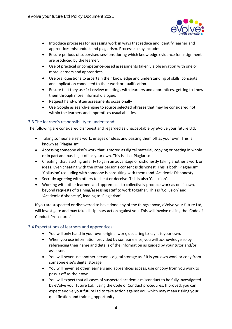

- Introduce processes for assessing work in ways that reduce and identify learner and apprentices misconduct and plagiarism. Processes may include:
- Ensure periods of supervised sessions during which knowledge evidence for assignments are produced by the learner.
- Use of practical or competence-based assessments taken via observation with one or more learners and apprentices.
- Use oral questions to ascertain their knowledge and understanding of skills, concepts and application connected to their work or qualification.
- Ensure that they use 1:1 review meetings with learners and apprentices, getting to know them through more informal dialogue.
- Request hand-written assessments occasionally
- Use Google as search-engine to source selected phrases that may be considered not within the learners and apprentices usual abilities.

#### <span id="page-4-0"></span>3.3 The learner's responsibility to understand:

The following are considered dishonest and regarded as unacceptable by eVolve your future Ltd:

- Taking someone else's work, images or ideas and passing them off as your own. This is known as 'Plagiarism'.
- Accessing someone else's work that is stored as digital material, copying or pasting in whole or in part and passing it off as your own. This is also 'Plagiarism'.
- Cheating, that is acting unfairly to gain an advantage or dishonestly taking another's work or ideas. Even cheating with the other person's consent is dishonest. This is both 'Plagiarism', 'Collusion' (colluding with someone is consulting with them) and 'Academic Dishonesty'.
- Secretly agreeing with others to cheat or deceive. This is also 'Collusion'.
- Working with other learners and apprentices to collectively produce work as one's own, beyond requests of training/assessing staff to work together. This is 'Collusion' and 'Academic dishonesty', leading to 'Plagiarism'.

If you are suspected or discovered to have done any of the things above, eVolve your future Ltd, will investigate and may take disciplinary action against you. This will involve raising the 'Code of Conduct Procedures'.

#### <span id="page-4-1"></span>3.4 Expectations of learners and apprentices:

- You will only hand in your own original work, declaring to say it is your own.
- When you use information provided by someone else, you will acknowledge so by referencing their name and details of the information as guided by your tutor and/or assessor.
- You will never use another person's digital storage as if it is you own work or copy from someone else's digital storage.
- You will never let other learners and apprentices access, use or copy from you work to pass it off as their own.
- You will expect that all cases of suspected academic misconduct to be fully investigated by eVolve your future Ltd., using the Code of Conduct procedures. If proved, you can expect eVolve your future Ltd to take action against you which may mean risking your qualification and training opportunity.